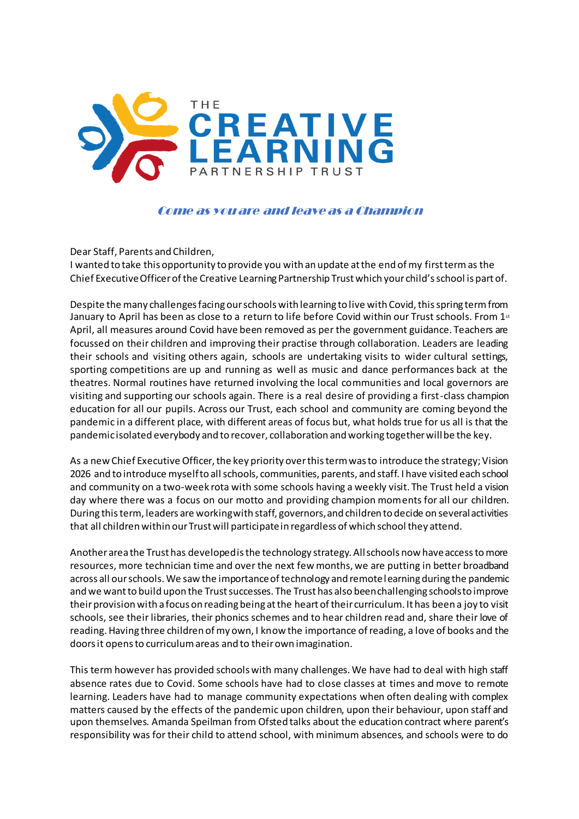

Come as you are and leave as a Champion

Dear Staff, Parents and Children,

I wanted to take this opportunity to provide you with an update at the end of my first term as the Chief Executive Officer of the Creative Learning Partnership Trust which your child's school is part of.

Despite the many challenges facing our schools with learning to live with Covid, this spring term from January to April has been as close to a return to life before Covid within our Trust schools. From 1st April, all measures around Covid have been removed as per the government guidance. Teachers are focussed on their children and improving their practise through collaboration. Leaders are leading their schools and visiting others again, schools are undertaking visits to wider cultural settings, sporting competitions are up and running as well as music and dance performances back at the theatres. Normal routines have returned involving the local communities and local governors are visiting and supporting our schools again. There is a real desire of providing a first-class champion education for all our pupils. Across our Trust, each school and community are coming beyond the pandemic in a different place, with different areas of focus but, what holds true for us all is that the pandemic isolated everybody and to recover, collaboration and working together will be the key.

As a new Chief Executive Officer, the key priority over this term was to introduce the strategy; Vision 2026 and to introduce myself to all schools, communities, parents, and staff. I have visited each school and community on a two-week rota with some schools having a weekly visit. The Trust held a vision day where there was a focus on our motto and providing champion moments for all our children. During this term, leaders are working with staff, governors, and children to decide on several activities that all children within our Trust will participate in regardless of which school they attend.

Another area the Trust has developed is the technology strategy. All schools now have access to more resources, more technician time and over the next few months, we are putting in better broadband across all our schools. We saw the importance of technology and remote learning during the pandemic and we want to build upon the Trust successes. The Trust has also been challenging schools to improve their provision with a focus on reading being at the heart of their curriculum. It has been a joy to visit schools, see their libraries, their phonics schemes and to hear children read and, share their love of reading. Having three children of my own, I know the importance of reading, a love of books and the doors it opens to curriculum areas and to their own imagination.

This term however has provided schools with many challenges. We have had to deal with high staff absence rates due to Covid. Some schools have had to close classes at times and move to remote learning. Leaders have had to manage community expectations when often dealing with complex matters caused by the effects of the pandemic upon children, upon their behaviour, upon staff and upon themselves. Amanda Speilman from Ofsted talks about the education contract where parent's responsibility was for their child to attend school, with minimum absences, and schools were to do